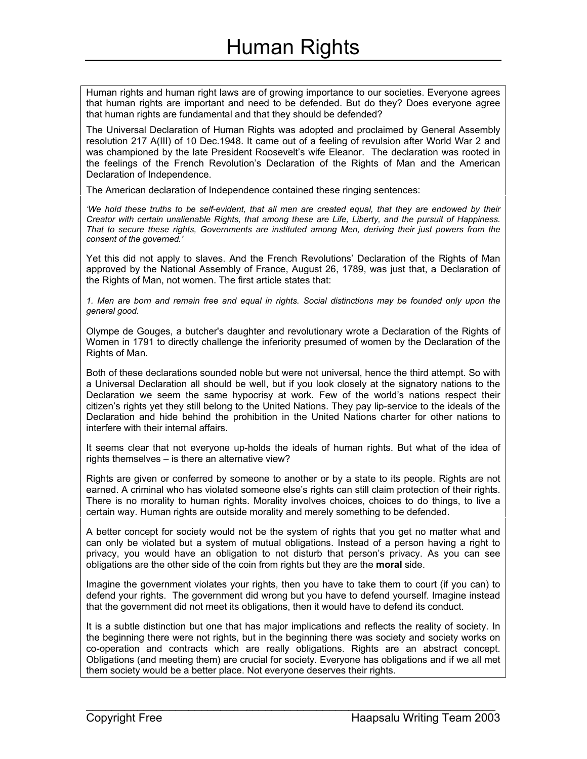Human rights and human right laws are of growing importance to our societies. Everyone agrees that human rights are important and need to be defended. But do they? Does everyone agree that human rights are fundamental and that they should be defended?

The Universal Declaration of Human Rights was adopted and proclaimed by General Assembly resolution 217 A(III) of 10 Dec.1948. It came out of a feeling of revulsion after World War 2 and was championed by the late President Roosevelt's wife Eleanor. The declaration was rooted in the feelings of the French Revolution's Declaration of the Rights of Man and the American Declaration of Independence.

The American declaration of Independence contained these ringing sentences:

*'We hold these truths to be self-evident, that all men are created equal, that they are endowed by their Creator with certain unalienable Rights, that among these are Life, Liberty, and the pursuit of Happiness. That to secure these rights, Governments are instituted among Men, deriving their just powers from the consent of the governed.'*

Yet this did not apply to slaves. And the French Revolutions' Declaration of the Rights of Man approved by the National Assembly of France, August 26, 1789, was just that, a Declaration of the Rights of Man, not women. The first article states that:

*1. Men are born and remain free and equal in rights. Social distinctions may be founded only upon the general good.*

Olympe de Gouges, a butcher's daughter and revolutionary wrote a Declaration of the Rights of Women in 1791 to directly challenge the inferiority presumed of women by the Declaration of the Rights of Man.

Both of these declarations sounded noble but were not universal, hence the third attempt. So with a Universal Declaration all should be well, but if you look closely at the signatory nations to the Declaration we seem the same hypocrisy at work. Few of the world's nations respect their citizen's rights yet they still belong to the United Nations. They pay lip-service to the ideals of the Declaration and hide behind the prohibition in the United Nations charter for other nations to interfere with their internal affairs.

It seems clear that not everyone up-holds the ideals of human rights. But what of the idea of rights themselves – is there an alternative view?

Rights are given or conferred by someone to another or by a state to its people. Rights are not earned. A criminal who has violated someone else's rights can still claim protection of their rights. There is no morality to human rights. Morality involves choices, choices to do things, to live a certain way. Human rights are outside morality and merely something to be defended.

A better concept for society would not be the system of rights that you get no matter what and can only be violated but a system of mutual obligations. Instead of a person having a right to privacy, you would have an obligation to not disturb that person's privacy. As you can see obligations are the other side of the coin from rights but they are the **moral** side.

Imagine the government violates your rights, then you have to take them to court (if you can) to defend your rights. The government did wrong but you have to defend yourself. Imagine instead that the government did not meet its obligations, then it would have to defend its conduct.

It is a subtle distinction but one that has major implications and reflects the reality of society. In the beginning there were not rights, but in the beginning there was society and society works on co-operation and contracts which are really obligations. Rights are an abstract concept. Obligations (and meeting them) are crucial for society. Everyone has obligations and if we all met them society would be a better place. Not everyone deserves their rights.

 $\mathcal{L}_\text{max}$  and  $\mathcal{L}_\text{max}$  and  $\mathcal{L}_\text{max}$  and  $\mathcal{L}_\text{max}$  and  $\mathcal{L}_\text{max}$  and  $\mathcal{L}_\text{max}$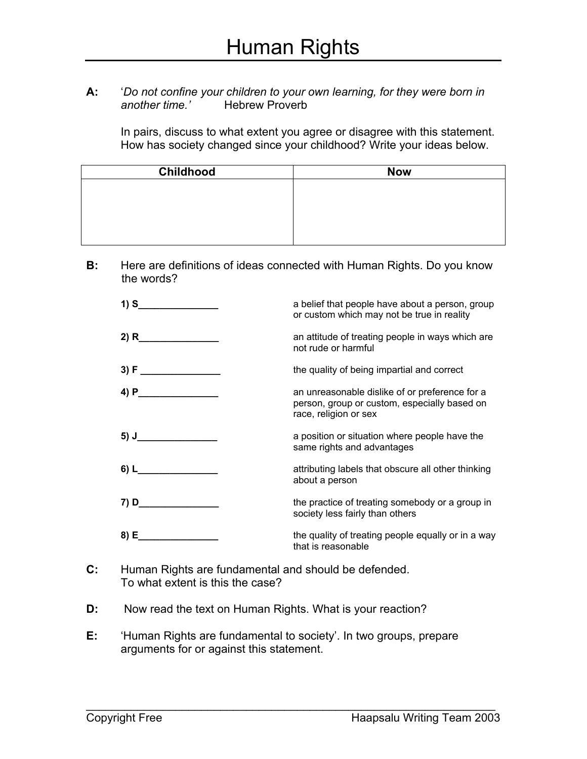**A:** '*Do not confine your children to your own learning, for they were born in another time.'* Hebrew Proverb

In pairs, discuss to what extent you agree or disagree with this statement. How has society changed since your childhood? Write your ideas below.

| <b>Childhood</b> | <b>Now</b> |
|------------------|------------|
|                  |            |
|                  |            |
|                  |            |
|                  |            |
|                  |            |

**B:** Here are definitions of ideas connected with Human Rights. Do you know the words?

| 1) S             | a belief that people have about a person, group<br>or custom which may not be true in reality                           |
|------------------|-------------------------------------------------------------------------------------------------------------------------|
| 2) R             | an attitude of treating people in ways which are<br>not rude or harmful                                                 |
|                  | the quality of being impartial and correct                                                                              |
| $\overline{4}$ P | an unreasonable dislike of or preference for a<br>person, group or custom, especially based on<br>race, religion or sex |
|                  | a position or situation where people have the<br>same rights and advantages                                             |
| $6)$ L           | attributing labels that obscure all other thinking<br>about a person                                                    |
| 7) D             | the practice of treating somebody or a group in<br>society less fairly than others                                      |
| 8) E             | the quality of treating people equally or in a way<br>that is reasonable                                                |

- **C:** Human Rights are fundamental and should be defended. To what extent is this the case?
- **D:** Now read the text on Human Rights. What is your reaction?
- **E:** 'Human Rights are fundamental to society'. In two groups, prepare arguments for or against this statement.